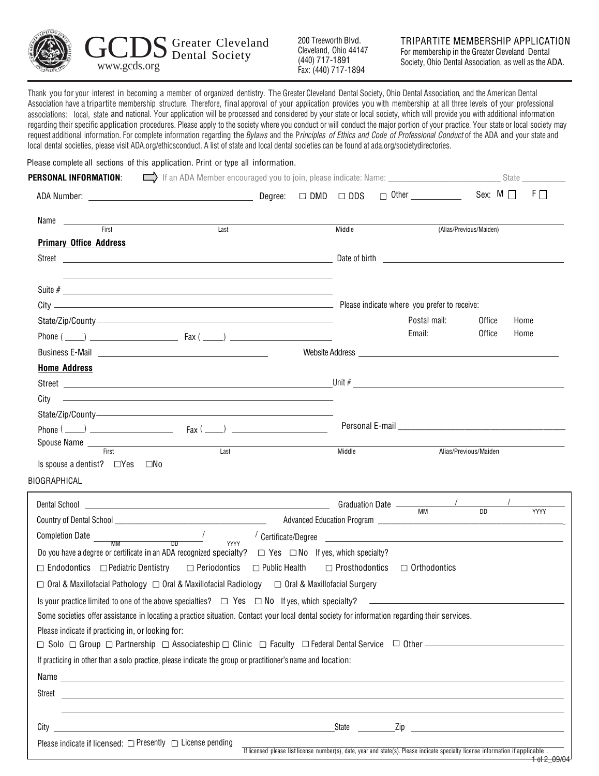

Cleveland, Ohio 44147 (440) 717-1891 Fax: (440) 717-1894

Thank you for your interest in becoming a member of organized dentistry. The Greater Cleveland Dental Society, Ohio Dental Association, and the American Dental Association have a tripartite membership structure. Therefore, final approval of your application provides you with membership at all three levels of your professional associations: local, state and national. Your application will be processed and considered by your state or local society, which will provide you with additional information regarding their specific application procedures. Please apply to the society where you conduct or will conduct the major portion of your practice. Your state or local society may request additional information. For complete information regarding the Bylaws and the Principles of Ethics and Code of Professional Conduct of the ADA and your state and local dental societies, please visit ADA.org/ethicsconduct. A list of state and local dental societies can be found at ada.org/societydirectories.

Please complete all sections of this application. Print or type all information.

| <b>PERSONAL INFORMATION:</b> $\Box$ If an ADA Member encouraged you to join, please indicate: Name: _____________________                                                                                                                                |      |        |                              |                         | State                     |
|----------------------------------------------------------------------------------------------------------------------------------------------------------------------------------------------------------------------------------------------------------|------|--------|------------------------------|-------------------------|---------------------------|
|                                                                                                                                                                                                                                                          |      |        | $\Box$ Other _______________ |                         | Sex: $M \Box$<br>$F \Box$ |
| Name<br><i>First</i>                                                                                                                                                                                                                                     | Last | Middle |                              | (Alias/Previous/Maiden) |                           |
| <b>Primary Office Address</b>                                                                                                                                                                                                                            |      |        |                              |                         |                           |
|                                                                                                                                                                                                                                                          |      |        |                              |                         |                           |
|                                                                                                                                                                                                                                                          |      |        |                              |                         |                           |
|                                                                                                                                                                                                                                                          |      |        |                              |                         |                           |
|                                                                                                                                                                                                                                                          |      |        |                              |                         |                           |
| State/Zip/County / 2000 / 2000 / 2000 / 2000 / 2000 / 2000 / 2000 / 2000 / 2000 / 2000 / 2000 / 2000 / 2000 / 2000 / 2000 / 2000 / 2000 / 2000 / 2000 / 2000 / 2000 / 2000 / 2000 / 2000 / 2000 / 2000 / 2000 / 2000 / 2000 /                            |      |        | Postal mail:                 | Office                  | Home                      |
|                                                                                                                                                                                                                                                          |      |        | Email:                       | Office                  | Home                      |
| Business E-Mail <u>Denverse and Community of the Second Community of the Second Community of the Second Community of the Second Community of the Second Community of the Second Community of the Second Community of the Second </u>                     |      |        |                              |                         |                           |
| <b>Home Address</b>                                                                                                                                                                                                                                      |      |        |                              |                         |                           |
|                                                                                                                                                                                                                                                          |      |        |                              |                         |                           |
| City —————————————————————————————————                                                                                                                                                                                                                   |      |        |                              |                         |                           |
| State/Zip/County-                                                                                                                                                                                                                                        |      |        |                              |                         |                           |
| $Phone ( \_ )$                                                                                                                                                                                                                                           |      |        |                              |                         |                           |
| Spouse Name Tirst Exercise Contract Last                                                                                                                                                                                                                 |      | Middle |                              | Alias/Previous/Maiden   |                           |
| Is spouse a dentist? $\Box$ Yes $\Box$ No                                                                                                                                                                                                                |      |        |                              |                         |                           |
| BIOGRAPHICAL                                                                                                                                                                                                                                             |      |        |                              |                         |                           |
|                                                                                                                                                                                                                                                          |      |        |                              |                         | <b>YYYY</b>               |
|                                                                                                                                                                                                                                                          |      |        |                              |                         |                           |
| $\begin{array}{cccc}\n\text{Completion Date} \hspace{0.06cm} & \text{mm} \hspace{1.5cm} & \text{on} \hspace{1.5cm} & \text{on} \end{array}$                                                                                                              |      |        |                              |                         |                           |
| Do you have a degree or certificate in an ADA recognized specialty? $\Box$ Yes $\Box$ No If yes, which specialty?                                                                                                                                        | YYYY |        |                              |                         |                           |
| $\Box$ Endodontics $\Box$ Pediatric Dentistry $\Box$ Periodontics $\Box$ Public Health $\Box$ Prosthodontics $\Box$ Orthodontics                                                                                                                         |      |        |                              |                         |                           |
| $\Box$ Oral & Maxillofacial Pathology $\Box$ Oral & Maxillofacial Radiology $\Box$ Oral & Maxillofacial Surgery                                                                                                                                          |      |        |                              |                         |                           |
| Is your practice limited to one of the above specialties? $\square$ Yes $\square$ No If yes, which specialty? $\square$                                                                                                                                  |      |        |                              |                         |                           |
| Some societies offer assistance in locating a practice situation. Contact your local dental society for information regarding their services.                                                                                                            |      |        |                              |                         |                           |
| Please indicate if practicing in, or looking for:                                                                                                                                                                                                        |      |        |                              |                         |                           |
| $\Box$ Solo $\Box$ Group $\Box$ Partnership $\Box$ Associateship $\Box$ Clinic $\Box$ Faculty $\Box$ Federal Dental Service $\Box$ Other $\Box$ Group $\Box$ Partnership $\Box$ Associateship $\Box$ Clinic $\Box$ Faculty $\Box$ Federal Dental Service |      |        |                              |                         |                           |
| If practicing in other than a solo practice, please indicate the group or practitioner's name and location:                                                                                                                                              |      |        |                              |                         |                           |
|                                                                                                                                                                                                                                                          |      |        |                              |                         |                           |
|                                                                                                                                                                                                                                                          |      |        |                              |                         |                           |
|                                                                                                                                                                                                                                                          |      |        |                              |                         |                           |
|                                                                                                                                                                                                                                                          |      |        |                              |                         |                           |
| Please indicate if licensed: $\Box$ Presently $\Box$ License pending                                                                                                                                                                                     |      |        |                              |                         |                           |